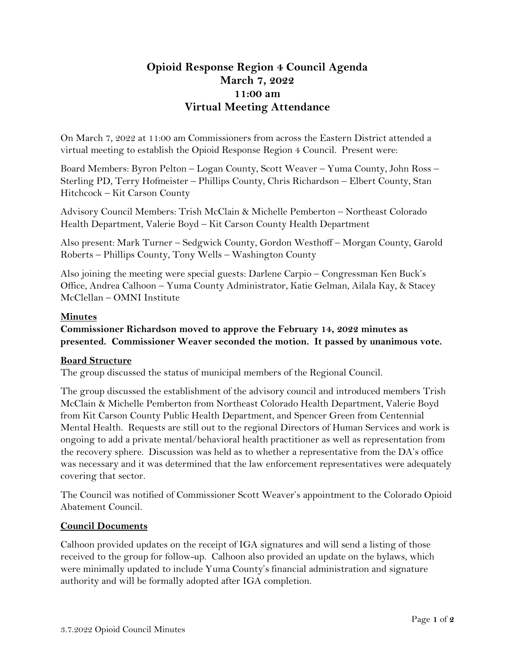# **Opioid Response Region 4 Council Agenda March 7, 2022 11:00 am Virtual Meeting Attendance**

On March 7, 2022 at 11:00 am Commissioners from across the Eastern District attended a virtual meeting to establish the Opioid Response Region 4 Council. Present were:

Board Members: Byron Pelton – Logan County, Scott Weaver – Yuma County, John Ross – Sterling PD, Terry Hofmeister – Phillips County, Chris Richardson – Elbert County, Stan Hitchcock – Kit Carson County

Advisory Council Members: Trish McClain & Michelle Pemberton – Northeast Colorado Health Department, Valerie Boyd – Kit Carson County Health Department

Also present: Mark Turner – Sedgwick County, Gordon Westhoff – Morgan County, Garold Roberts – Phillips County, Tony Wells – Washington County

Also joining the meeting were special guests: Darlene Carpio – Congressman Ken Buck's Office, Andrea Calhoon – Yuma County Administrator, Katie Gelman, Ailala Kay, & Stacey McClellan – OMNI Institute

## **Minutes**

**Commissioner Richardson moved to approve the February 14, 2022 minutes as presented. Commissioner Weaver seconded the motion. It passed by unanimous vote.** 

#### **Board Structure**

The group discussed the status of municipal members of the Regional Council.

The group discussed the establishment of the advisory council and introduced members Trish McClain & Michelle Pemberton from Northeast Colorado Health Department, Valerie Boyd from Kit Carson County Public Health Department, and Spencer Green from Centennial Mental Health. Requests are still out to the regional Directors of Human Services and work is ongoing to add a private mental/behavioral health practitioner as well as representation from the recovery sphere. Discussion was held as to whether a representative from the DA's office was necessary and it was determined that the law enforcement representatives were adequately covering that sector.

The Council was notified of Commissioner Scott Weaver's appointment to the Colorado Opioid Abatement Council.

#### **Council Documents**

Calhoon provided updates on the receipt of IGA signatures and will send a listing of those received to the group for follow-up. Calhoon also provided an update on the bylaws, which were minimally updated to include Yuma County's financial administration and signature authority and will be formally adopted after IGA completion.